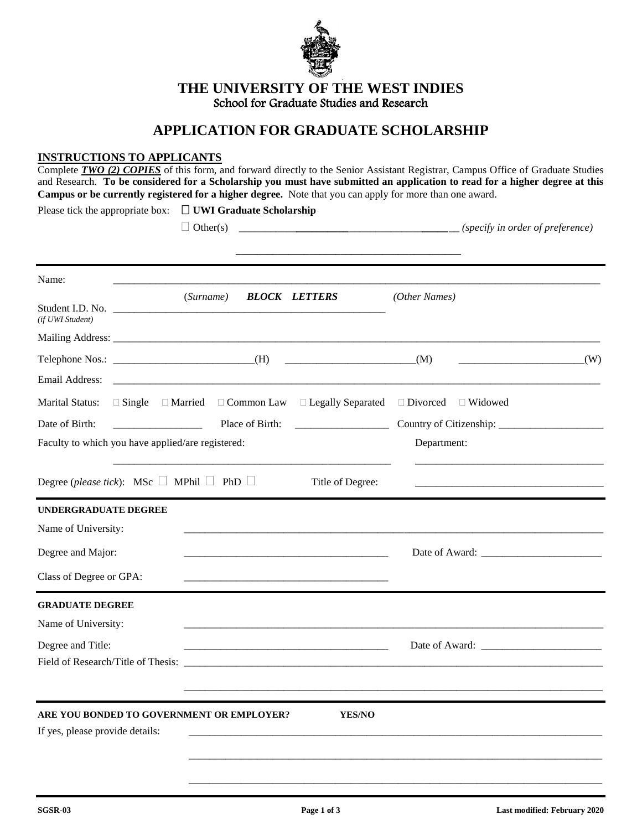

**THE UNIVERSITY OF THE WEST INDIES** School for Graduate Studies and Research

# **APPLICATION FOR GRADUATE SCHOLARSHIP**

# **INSTRUCTIONS TO APPLICANTS**

|                                                                                                                                                                    | Please tick the appropriate box: $\Box$ UWI Graduate Scholarship                                                                                                          |                                           |
|--------------------------------------------------------------------------------------------------------------------------------------------------------------------|---------------------------------------------------------------------------------------------------------------------------------------------------------------------------|-------------------------------------------|
| Name:<br>(if UWI Student)                                                                                                                                          | (Surname) <b>BLOCK LETTERS</b>                                                                                                                                            | (Other Names)                             |
|                                                                                                                                                                    |                                                                                                                                                                           | $\begin{array}{c} \hline \end{array}$ (W) |
| <b>Marital Status:</b><br>Date of Birth:<br>Faculty to which you have applied/are registered:<br>Degree ( <i>please tick</i> ): MSc $\Box$ MPhil $\Box$ PhD $\Box$ | $\Box$ Single $\Box$ Married $\Box$ Common Law $\Box$ Legally Separated $\Box$ Divorced $\Box$ Widowed<br>$\frac{1}{2}$ Place of Birth: $\frac{1}{2}$<br>Title of Degree: | Department:                               |
| <b>UNDERGRADUATE DEGREE</b>                                                                                                                                        |                                                                                                                                                                           |                                           |
| Name of University:<br>Degree and Major:<br>Class of Degree or GPA:                                                                                                |                                                                                                                                                                           |                                           |
| <b>GRADUATE DEGREE</b><br>Name of University:<br>Degree and Title:                                                                                                 |                                                                                                                                                                           |                                           |
| If yes, please provide details:                                                                                                                                    | ARE YOU BONDED TO GOVERNMENT OR EMPLOYER?                                                                                                                                 | YES/NO                                    |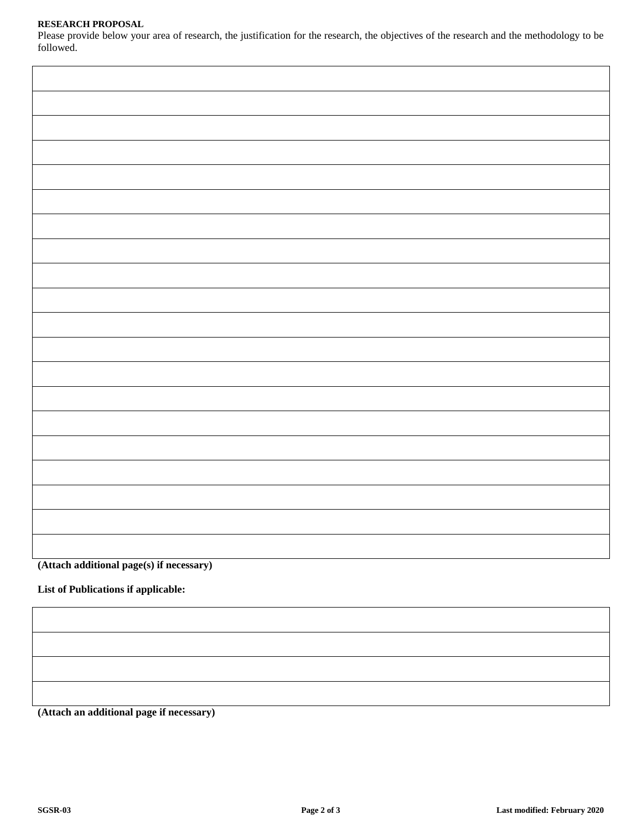## **RESEARCH PROPOSAL**

Please provide below your area of research, the justification for the research, the objectives of the research and the methodology to be followed.

**(Attach additional page(s) if necessary)**

**List of Publications if applicable:**

**(Attach an additional page if necessary)**